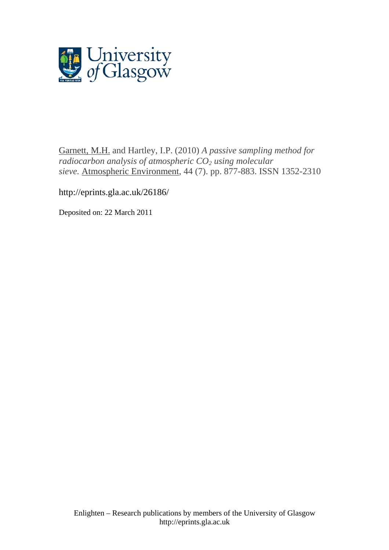

[Garnett, M.H.](http://eprints.gla.ac.uk/view/author/9257.html) and Hartley, I.P. (2010) *A passive sampling method for radiocarbon analysis of atmospheric CO<sub>2</sub> <i>using molecular sieve.* [Atmospheric Environment,](http://eprints.gla.ac.uk/view/journal_volume/Atmospheric_Environment.html) 44 (7). pp. 877-883. ISSN 1352-2310

http://eprints.gla.ac.uk/26186/

Deposited on: 22 March 2011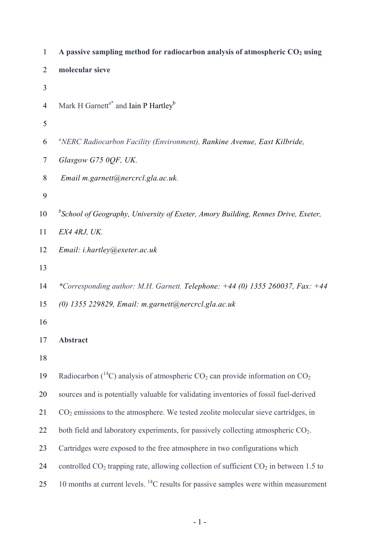| $\mathbf{1}$   | A passive sampling method for radiocarbon analysis of atmospheric CO <sub>2</sub> using                       |
|----------------|---------------------------------------------------------------------------------------------------------------|
| $\overline{2}$ | molecular sieve                                                                                               |
| 3              |                                                                                                               |
| $\overline{4}$ | Mark H Garnett <sup>a*</sup> and Iain P Hartley <sup>b</sup>                                                  |
| 5              |                                                                                                               |
| 6              | <sup>a</sup> NERC Radiocarbon Facility (Environment), Rankine Avenue, East Kilbride,                          |
| 7              | Glasgow G75 0QF, UK.                                                                                          |
| 8              | Email m.garnett@nercrcl.gla.ac.uk.                                                                            |
| 9              |                                                                                                               |
| 10             | <sup>b</sup> School of Geography, University of Exeter, Amory Building, Rennes Drive, Exeter,                 |
| 11             | EX4 4RJ, UK.                                                                                                  |
| 12             | Email: i.hartley@exeter.ac.uk                                                                                 |
| 13             |                                                                                                               |
| 14             | *Corresponding author: M.H. Garnett. Telephone: $+44$ (0) 1355 260037, Fax: $+44$                             |
| 15             | (0) 1355 229829, Email: m.garnett@nercrcl.gla.ac.uk                                                           |
| 16             |                                                                                                               |
| 17             | Abstract                                                                                                      |
| 18             |                                                                                                               |
| 19             | Radiocarbon ( ${}^{14}C$ ) analysis of atmospheric CO <sub>2</sub> can provide information on CO <sub>2</sub> |
| 20             | sources and is potentially valuable for validating inventories of fossil fuel-derived                         |
| 21             | $CO2$ emissions to the atmosphere. We tested zeolite molecular sieve cartridges, in                           |
| 22             | both field and laboratory experiments, for passively collecting atmospheric CO <sub>2</sub> .                 |
| 23             | Cartridges were exposed to the free atmosphere in two configurations which                                    |
| 24             | controlled $CO2$ trapping rate, allowing collection of sufficient $CO2$ in between 1.5 to                     |
| 25             | 10 months at current levels. $^{14}$ C results for passive samples were within measurement                    |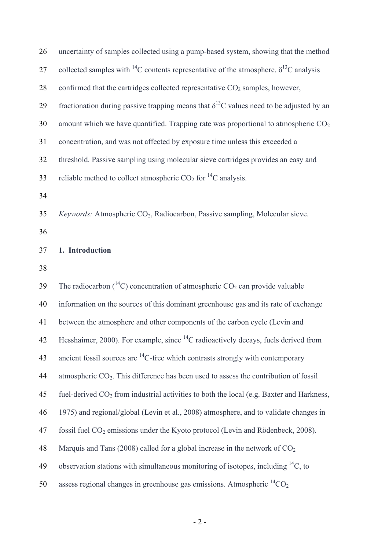| 26 | uncertainty of samples collected using a pump-based system, showing that the method                        |
|----|------------------------------------------------------------------------------------------------------------|
| 27 | collected samples with <sup>14</sup> C contents representative of the atmosphere. $\delta^{13}$ C analysis |
| 28 | confirmed that the cartridges collected representative CO <sub>2</sub> samples, however,                   |
| 29 | fractionation during passive trapping means that $\delta^{13}$ C values need to be adjusted by an          |
| 30 | amount which we have quantified. Trapping rate was proportional to atmospheric $CO2$                       |
| 31 | concentration, and was not affected by exposure time unless this exceeded a                                |
| 32 | threshold. Passive sampling using molecular sieve cartridges provides an easy and                          |
| 33 | reliable method to collect atmospheric $CO_2$ for <sup>14</sup> C analysis.                                |
| 34 |                                                                                                            |
| 35 | Keywords: Atmospheric CO <sub>2</sub> , Radiocarbon, Passive sampling, Molecular sieve.                    |
| 36 |                                                                                                            |
| 37 | 1. Introduction                                                                                            |
| 38 |                                                                                                            |
| 39 | The radiocarbon ( ${}^{14}$ C) concentration of atmospheric CO <sub>2</sub> can provide valuable           |
| 40 |                                                                                                            |
|    | information on the sources of this dominant greenhouse gas and its rate of exchange                        |
| 41 | between the atmosphere and other components of the carbon cycle (Levin and                                 |
| 42 | Hesshaimer, 2000). For example, since ${}^{14}C$ radioactively decays, fuels derived from                  |
| 43 | ancient fossil sources are $^{14}$ C-free which contrasts strongly with contemporary                       |
| 44 | atmospheric $CO2$ . This difference has been used to assess the contribution of fossil                     |
| 45 | fuel-derived $CO2$ from industrial activities to both the local (e.g. Baxter and Harkness,                 |
| 46 | 1975) and regional/global (Levin et al., 2008) atmosphere, and to validate changes in                      |
| 47 | fossil fuel CO <sub>2</sub> emissions under the Kyoto protocol (Levin and Rödenbeck, 2008).                |
| 48 | Marquis and Tans (2008) called for a global increase in the network of $CO2$                               |
| 49 | observation stations with simultaneous monitoring of isotopes, including ${}^{14}C$ , to                   |

- 2 -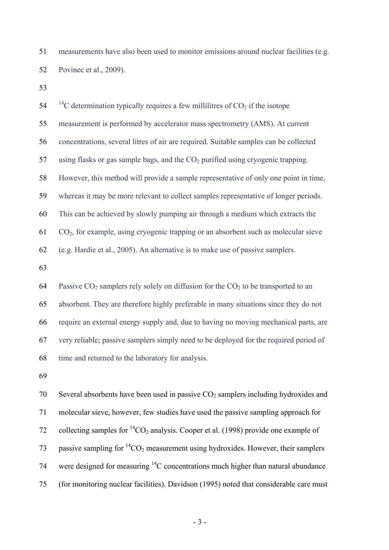51 52 measurements have also been used to monitor emissions around nuclear facilities (e.g. Povinec et al., 2009).

53

| 54 | <sup>14</sup> C determination typically requires a few millilitres of $CO2$ if the isotope |
|----|--------------------------------------------------------------------------------------------|
| 55 | measurement is performed by accelerator mass spectrometry (AMS). At current                |
| 56 | concentrations, several litres of air are required. Suitable samples can be collected      |
| 57 | using flasks or gas sample bags, and the $CO2$ purified using cryogenic trapping.          |
| 58 | However, this method will provide a sample representative of only one point in time,       |
| 59 | whereas it may be more relevant to collect samples representative of longer periods.       |
| 60 | This can be achieved by slowly pumping air through a medium which extracts the             |
| 61 | $CO2$ , for example, using cryogenic trapping or an absorbent such as molecular sieve      |
| 62 | (e.g. Hardie et al., 2005). An alternative is to make use of passive samplers.             |
| 63 |                                                                                            |
| 64 | Passive $CO_2$ samplers rely solely on diffusion for the $CO_2$ to be transported to an    |
| 65 | absorbent. They are therefore highly preferable in many situations since they do not       |
| 66 | require an external energy supply and, due to having no moving mechanical parts, are       |
| 67 | very reliable; passive samplers simply need to be deployed for the required period of      |
| 68 | time and returned to the laboratory for analysis.                                          |

69

70 71 72 73 74 75 Several absorbents have been used in passive  $CO<sub>2</sub>$  samplers including hydroxides and molecular sieve, however, few studies have used the passive sampling approach for collecting samples for  ${}^{14}CO_2$  analysis. Cooper et al. (1998) provide one example of passive sampling for  ${}^{14}CO_2$  measurement using hydroxides. However, their samplers were designed for measuring <sup>14</sup>C concentrations much higher than natural abundance (for monitoring nuclear facilities). Davidson (1995) noted that considerable care must

- 3 -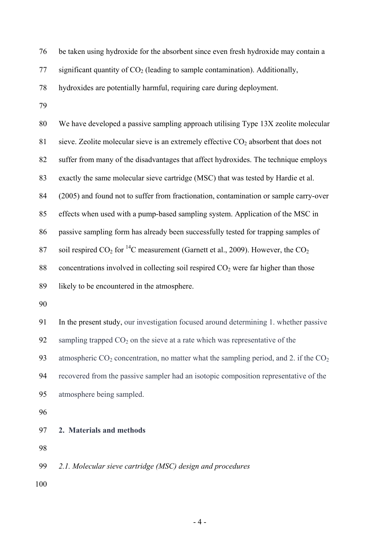| 76  | be taken using hydroxide for the absorbent since even fresh hydroxide may contain a              |
|-----|--------------------------------------------------------------------------------------------------|
| 77  | significant quantity of $CO2$ (leading to sample contamination). Additionally,                   |
| 78  | hydroxides are potentially harmful, requiring care during deployment.                            |
| 79  |                                                                                                  |
| 80  | We have developed a passive sampling approach utilising Type 13X zeolite molecular               |
| 81  | sieve. Zeolite molecular sieve is an extremely effective $CO2$ absorbent that does not           |
| 82  | suffer from many of the disadvantages that affect hydroxides. The technique employs              |
| 83  | exactly the same molecular sieve cartridge (MSC) that was tested by Hardie et al.                |
| 84  | (2005) and found not to suffer from fractionation, contamination or sample carry-over            |
| 85  | effects when used with a pump-based sampling system. Application of the MSC in                   |
| 86  | passive sampling form has already been successfully tested for trapping samples of               |
| 87  | soil respired $CO_2$ for <sup>14</sup> C measurement (Garnett et al., 2009). However, the $CO_2$ |
| 88  | concentrations involved in collecting soil respired $CO2$ were far higher than those             |
| 89  | likely to be encountered in the atmosphere.                                                      |
| 90  |                                                                                                  |
| 91  | In the present study, our investigation focused around determining 1. whether passive            |
| 92  | sampling trapped $CO2$ on the sieve at a rate which was representative of the                    |
| 93  | atmospheric $CO_2$ concentration, no matter what the sampling period, and 2. if the $CO_2$       |
| 94  | recovered from the passive sampler had an isotopic composition representative of the             |
| 95  | atmosphere being sampled.                                                                        |
| 96  |                                                                                                  |
| 97  | 2. Materials and methods                                                                         |
| 98  |                                                                                                  |
| 99  | 2.1. Molecular sieve cartridge (MSC) design and procedures                                       |
| 100 |                                                                                                  |

- 4 -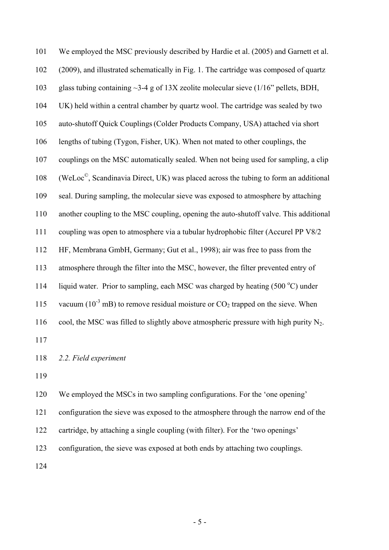We employed the MSC previously described by Hardie et al. (2005) and Garnett et al. (2009), and illustrated schematically in Fig. 1. The cartridge was composed of quartz glass tubing containing  $\sim$ 3-4 g of 13X zeolite molecular sieve (1/16" pellets, BDH, UK) held within a central chamber by quartz wool. The cartridge was sealed by two auto-shutoff Quick Couplings (Colder Products Company, USA) attached via short 101 102 103 104 105 106 107 108 109 110 111 112 113 114 115 116 117 lengths of tubing (Tygon, Fisher, UK). When not mated to other couplings, the couplings on the MSC automatically sealed. When not being used for sampling, a clip (WeLoc©, Scandinavia Direct, UK) was placed across the tubing to form an additional seal. During sampling, the molecular sieve was exposed to atmosphere by attaching another coupling to the MSC coupling, opening the auto-shutoff valve. This additional coupling was open to atmosphere via a tubular hydrophobic filter (Accurel PP V8/2 HF, Membrana GmbH, Germany; Gut et al., 1998); air was free to pass from the atmosphere through the filter into the MSC, however, the filter prevented entry of liquid water. Prior to sampling, each MSC was charged by heating (500 °C) under vacuum ( $10^{-3}$  mB) to remove residual moisture or CO<sub>2</sub> trapped on the sieve. When cool, the MSC was filled to slightly above atmospheric pressure with high purity  $N_2$ .

118 *2.2. Field experiment* 

119

120 We employed the MSCs in two sampling configurations. For the 'one opening'

121 configuration the sieve was exposed to the atmosphere through the narrow end of the

122 cartridge, by attaching a single coupling (with filter). For the 'two openings'

123 configuration, the sieve was exposed at both ends by attaching two couplings.

124

- 5 -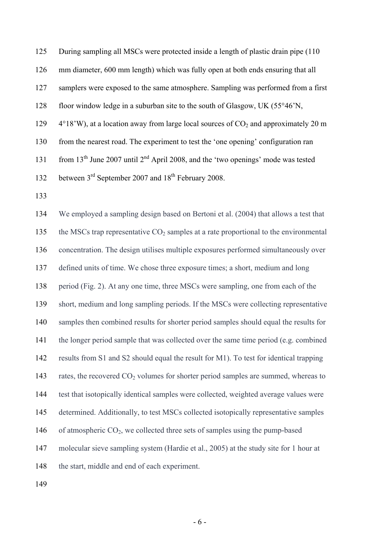During sampling all MSCs were protected inside a length of plastic drain pipe (110 mm diameter, 600 mm length) which was fully open at both ends ensuring that all samplers were exposed to the same atmosphere. Sampling was performed from a first floor window ledge in a suburban site to the south of Glasgow, UK (55°46'N,  $4^{\circ}18'W$ ), at a location away from large local sources of  $CO<sub>2</sub>$  and approximately 20 m 125 126 127 128 129 130 131 132 from the nearest road. The experiment to test the 'one opening' configuration ran from  $13<sup>th</sup>$  June 2007 until  $2<sup>nd</sup>$  April 2008, and the 'two openings' mode was tested between  $3<sup>rd</sup>$  September 2007 and  $18<sup>th</sup>$  February 2008.

133

134 135 136 137 138 139 140 141 142 143 144 145 146 147 148 We employed a sampling design based on Bertoni et al. (2004) that allows a test that the MSCs trap representative  $CO<sub>2</sub>$  samples at a rate proportional to the environmental concentration. The design utilises multiple exposures performed simultaneously over defined units of time. We chose three exposure times; a short, medium and long period (Fig. 2). At any one time, three MSCs were sampling, one from each of the short, medium and long sampling periods. If the MSCs were collecting representative samples then combined results for shorter period samples should equal the results for the longer period sample that was collected over the same time period (e.g. combined results from S1 and S2 should equal the result for M1). To test for identical trapping rates, the recovered  $CO<sub>2</sub>$  volumes for shorter period samples are summed, whereas to test that isotopically identical samples were collected, weighted average values were determined. Additionally, to test MSCs collected isotopically representative samples of atmospheric  $CO<sub>2</sub>$ , we collected three sets of samples using the pump-based molecular sieve sampling system (Hardie et al., 2005) at the study site for 1 hour at the start, middle and end of each experiment.

149

- 6 -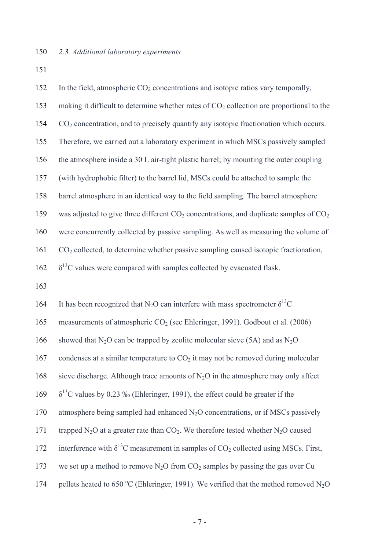151

152 153 154 155 156 157 158 159 160 161 162 163 164 165 166 167 168 169 170 171 172 173 174 In the field, atmospheric  $CO<sub>2</sub>$  concentrations and isotopic ratios vary temporally, making it difficult to determine whether rates of  $CO<sub>2</sub>$  collection are proportional to the CO<sub>2</sub> concentration, and to precisely quantify any isotopic fractionation which occurs. Therefore, we carried out a laboratory experiment in which MSCs passively sampled the atmosphere inside a 30 L air-tight plastic barrel; by mounting the outer coupling (with hydrophobic filter) to the barrel lid, MSCs could be attached to sample the barrel atmosphere in an identical way to the field sampling. The barrel atmosphere was adjusted to give three different  $CO<sub>2</sub>$  concentrations, and duplicate samples of  $CO<sub>2</sub>$ were concurrently collected by passive sampling. As well as measuring the volume of  $CO<sub>2</sub>$  collected, to determine whether passive sampling caused isotopic fractionation,  $\delta^{13}$ C values were compared with samples collected by evacuated flask. It has been recognized that N<sub>2</sub>O can interfere with mass spectrometer  $\delta^{13}C$ measurements of atmospheric  $CO<sub>2</sub>$  (see Ehleringer, 1991). Godbout et al. (2006) showed that  $N_2O$  can be trapped by zeolite molecular sieve (5A) and as  $N_2O$ condenses at a similar temperature to  $CO<sub>2</sub>$  it may not be removed during molecular sieve discharge. Although trace amounts of  $N<sub>2</sub>O$  in the atmosphere may only affect  $\delta^{13}$ C values by 0.23 ‰ (Ehleringer, 1991), the effect could be greater if the atmosphere being sampled had enhanced  $N_2O$  concentrations, or if MSCs passively trapped  $N_2O$  at a greater rate than  $CO_2$ . We therefore tested whether  $N_2O$  caused interference with  $\delta^{13}$ C measurement in samples of CO<sub>2</sub> collected using MSCs. First, we set up a method to remove  $N_2O$  from  $CO_2$  samples by passing the gas over Cu pellets heated to 650 °C (Ehleringer, 1991). We verified that the method removed  $N_2O$ 

- 7 -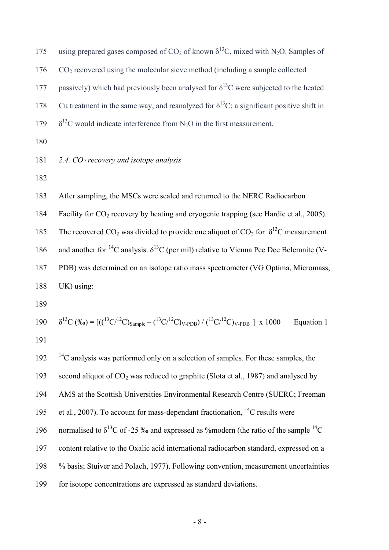using prepared gases composed of  $CO_2$  of known  $\delta^{13}C$ , mixed with N<sub>2</sub>O. Samples of CO 2 recovered using the molecular sieve method (including a sample collected 175 176 177 178 179 passively) which had previously been analysed for  $\delta^{13}$ C were subjected to the heated Cu treatment in the same way, and reanalyzed for  $\delta^{13}C$ ; a significant positive shift in  $\delta^{13}$ C would indicate interference from N<sub>2</sub>O in the first measurement.

- 180
- 181 *2.4. CO2 recovery and isotope analysis*
- 182

183 After sampling, the MSCs were sealed and returned to the NERC Radiocarbon

184 Facility for  $CO<sub>2</sub>$  recovery by heating and cryogenic trapping (see Hardie et al., 2005).

185 The recovered CO<sub>2</sub> was divided to provide one aliquot of CO<sub>2</sub> for  $\delta^{13}$ C measurement

186 and another for <sup>14</sup>C analysis.  $\delta^{13}$ C (per mil) relative to Vienna Pee Dee Belemnite (V-

187 PDB) was determined on an isotope ratio mass spectrometer (VG Optima, Micromass,

- 188 UK) using:
- 189

190 
$$
\delta^{13}C ( %) = [((^{13}C)^{12}C)_{Sample} - (^{13}C)^{12}C)_{V-PDB}) / (^{13}C)^{12}C)_{V-PDB} ] \times 1000 \qquad \text{Equation 1}
$$

192  $14$ C analysis was performed only on a selection of samples. For these samples, the

193 second aliquot of  $CO<sub>2</sub>$  was reduced to graphite (Slota et al., 1987) and analysed by

194 AMS at the Scottish Universities Environmental Research Centre (SUERC; Freeman

195 et al., 2007). To account for mass-dependant fractionation,  $^{14}$ C results were

196 normalised to  $\delta^{13}$ C of -25 ‰ and expressed as %modern (the ratio of the sample  $^{14}$ C

197 content relative to the Oxalic acid international radiocarbon standard, expressed on a

198 % basis; Stuiver and Polach, 1977). Following convention, measurement uncertainties

199 for isotope concentrations are expressed as standard deviations.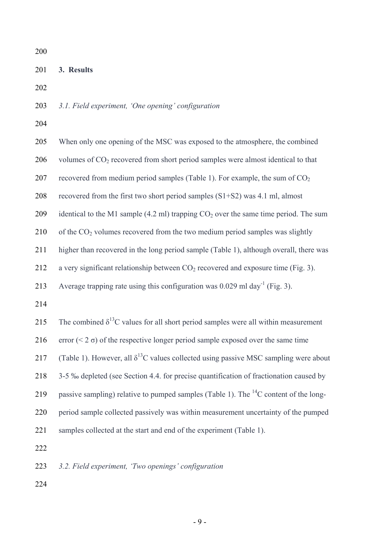| I<br>I |  |
|--------|--|

201 **3. Results** 

202

## 203 *3.1. Field experiment, 'One opening' configuration*

204

| 205 | When only one opening of the MSC was exposed to the atmosphere, the combined                    |
|-----|-------------------------------------------------------------------------------------------------|
| 206 | volumes of CO <sub>2</sub> recovered from short period samples were almost identical to that    |
| 207 | recovered from medium period samples (Table 1). For example, the sum of $CO2$                   |
| 208 | recovered from the first two short period samples $(S1+S2)$ was 4.1 ml, almost                  |
| 209 | identical to the M1 sample $(4.2 \text{ ml})$ trapping $CO2$ over the same time period. The sum |
| 210 | of the $CO2$ volumes recovered from the two medium period samples was slightly                  |
| 211 | higher than recovered in the long period sample (Table 1), although overall, there was          |
| 212 | a very significant relationship between $CO2$ recovered and exposure time (Fig. 3).             |
| 213 | Average trapping rate using this configuration was $0.029$ ml day <sup>-1</sup> (Fig. 3).       |
| 214 |                                                                                                 |
| 215 | The combined $\delta^{13}$ C values for all short period samples were all within measurement    |
| 216 | error ( $\leq$ 2 $\sigma$ ) of the respective longer period sample exposed over the same time   |
| 217 | (Table 1). However, all $\delta^{13}$ C values collected using passive MSC sampling were about  |
| 218 | 3-5 ‰ depleted (see Section 4.4. for precise quantification of fractionation caused by          |
| 219 | passive sampling) relative to pumped samples (Table 1). The ${}^{14}C$ content of the long-     |
| 220 | period sample collected passively was within measurement uncertainty of the pumped              |
| 221 | samples collected at the start and end of the experiment (Table 1).                             |
| 222 |                                                                                                 |
|     |                                                                                                 |

223 *3.2. Field experiment, 'Two openings' configuration*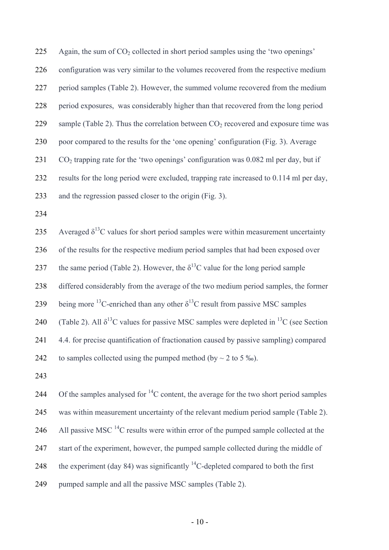Again, the sum of  $CO<sub>2</sub>$  collected in short period samples using the 'two openings' configuration was very similar to the volumes recovered from the respective medium period samples (Table 2). However, the summed volume recovered from the medium period exposures, was considerably higher than that recovered from the long period sample (Table 2). Thus the correlation between CO 2 recovered and exposure time was 225 226 227 228 229 230 231 232 233 poor compared to the results for the 'one opening' configuration (Fig. 3). Average  $CO<sub>2</sub>$  trapping rate for the 'two openings' configuration was 0.082 ml per day, but if results for the long period were excluded, trapping rate increased to 0.114 ml per day, and the regression passed closer to the origin (Fig. 3).

234

235 236 237 238 239 240 241 242 Averaged  $\delta^{13}$ C values for short period samples were within measurement uncertainty of the results for the respective medium period samples that had been exposed over the same period (Table 2). However, the  $\delta^{13}$ C value for the long period sample differed considerably from the average of the two medium period samples, the former being more <sup>13</sup>C-enriched than any other  $\delta^{13}$ C result from passive MSC samples (Table 2). All  $\delta^{13}$ C values for passive MSC samples were depleted in  $^{13}$ C (see Section 4.4. for precise quantification of fractionation caused by passive sampling) compared to samples collected using the pumped method (by  $\sim$  2 to 5 ‰).

243

244 245 246 247 248 249 Of the samples analysed for  ${}^{14}C$  content, the average for the two short period samples was within measurement uncertainty of the relevant medium period sample (Table 2). All passive MSC <sup>14</sup>C results were within error of the pumped sample collected at the start of the experiment, however, the pumped sample collected during the middle of the experiment (day 84) was significantly  $^{14}$ C-depleted compared to both the first pumped sample and all the passive MSC samples (Table 2).

- 10 -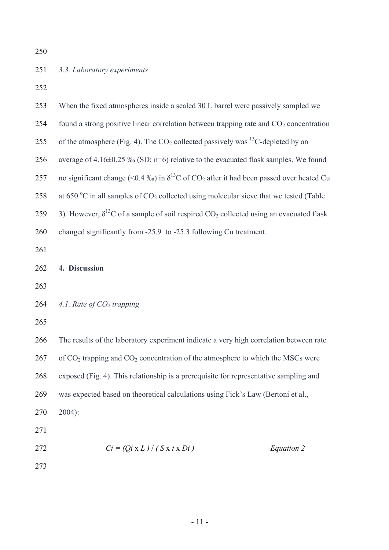250

## 251 *3.3. Laboratory experiments*

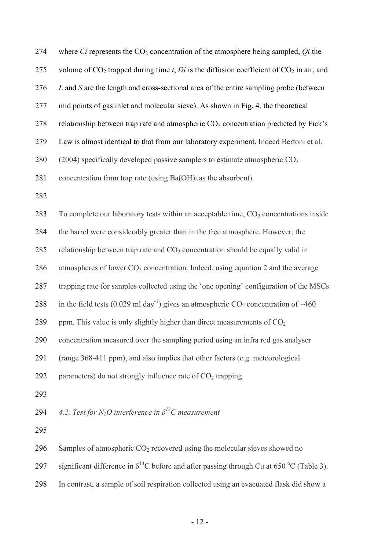| 274 | where $Ci$ represents the $CO2$ concentration of the atmosphere being sampled, $Qi$ the            |
|-----|----------------------------------------------------------------------------------------------------|
| 275 | volume of $CO_2$ trapped during time t, Di is the diffusion coefficient of $CO_2$ in air, and      |
| 276 | L and S are the length and cross-sectional area of the entire sampling probe (between              |
| 277 | mid points of gas inlet and molecular sieve). As shown in Fig. 4, the theoretical                  |
| 278 | relationship between trap rate and atmospheric CO <sub>2</sub> concentration predicted by Fick's   |
| 279 | Law is almost identical to that from our laboratory experiment. Indeed Bertoni et al.              |
| 280 | $(2004)$ specifically developed passive samplers to estimate atmospheric $CO2$                     |
| 281 | concentration from trap rate (using $Ba(OH)_2$ as the absorbent).                                  |
| 282 |                                                                                                    |
| 283 | To complete our laboratory tests within an acceptable time, $CO2$ concentrations inside            |
| 284 | the barrel were considerably greater than in the free atmosphere. However, the                     |
| 285 | relationship between trap rate and $CO2$ concentration should be equally valid in                  |
| 286 | atmospheres of lower $CO2$ concentration. Indeed, using equation 2 and the average                 |
| 287 | trapping rate for samples collected using the 'one opening' configuration of the MSCs              |
| 288 | in the field tests (0.029 ml day <sup>-1</sup> ) gives an atmospheric $CO_2$ concentration of ~460 |

289 ppm. This value is only slightly higher than direct measurements of  $CO<sub>2</sub>$ 

290 concentration measured over the sampling period using an infra red gas analyser

291 (range 368-411 ppm), and also implies that other factors (e.g. meteorological

292 parameters) do not strongly influence rate of  $CO<sub>2</sub>$  trapping.

293

294 *4.2. Test for N2O interference in δ 13C measurement*

295

296 Samples of atmospheric  $CO<sub>2</sub>$  recovered using the molecular sieves showed no

297 significant difference in  $\delta^{13}$ C before and after passing through Cu at 650 °C (Table 3).

298 In contrast, a sample of soil respiration collected using an evacuated flask did show a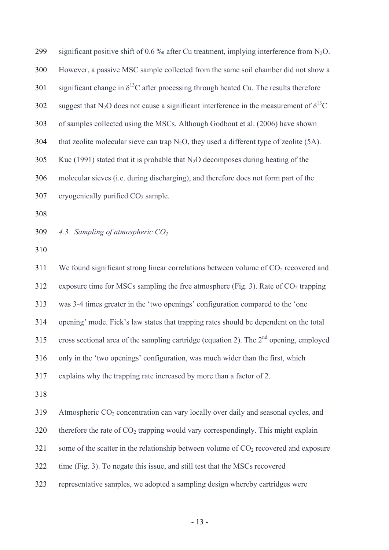| 299 | significant positive shift of 0.6 ‰ after Cu treatment, implying interference from $N_2O$ .                  |
|-----|--------------------------------------------------------------------------------------------------------------|
| 300 | However, a passive MSC sample collected from the same soil chamber did not show a                            |
| 301 | significant change in $\delta^{13}$ C after processing through heated Cu. The results therefore              |
| 302 | suggest that N <sub>2</sub> O does not cause a significant interference in the measurement of $\delta^{13}C$ |
| 303 | of samples collected using the MSCs. Although Godbout et al. (2006) have shown                               |
| 304 | that zeolite molecular sieve can trap $N_2O$ , they used a different type of zeolite (5A).                   |
| 305 | Kuc (1991) stated that it is probable that $N_2O$ decomposes during heating of the                           |
| 306 | molecular sieves (i.e. during discharging), and therefore does not form part of the                          |
| 307 | cryogenically purified $CO2$ sample.                                                                         |
| 308 |                                                                                                              |

- 309 *4.3. Sampling of atmospheric CO2*
- 310

 $209$ 

311 312 313 314 315 316 317 318 We found significant strong linear correlations between volume of  $CO<sub>2</sub>$  recovered and exposure time for MSCs sampling the free atmosphere (Fig. 3). Rate of  $CO<sub>2</sub>$  trapping was 3-4 times greater in the 'two openings' configuration compared to the 'one opening' mode. Fick's law states that trapping rates should be dependent on the total cross sectional area of the sampling cartridge (equation 2). The  $2<sup>nd</sup>$  opening, employed only in the 'two openings' configuration, was much wider than the first, which explains why the trapping rate increased by more than a factor of 2.

- 319 Atmospheric  $CO<sub>2</sub>$  concentration can vary locally over daily and seasonal cycles, and
- 320 therefore the rate of  $CO<sub>2</sub>$  trapping would vary correspondingly. This might explain
- 321 some of the scatter in the relationship between volume of  $CO<sub>2</sub>$  recovered and exposure
- 322 time (Fig. 3). To negate this issue, and still test that the MSCs recovered
- 323 representative samples, we adopted a sampling design whereby cartridges were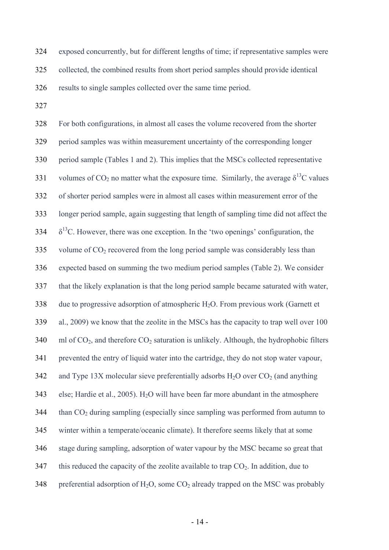324 325 326 exposed concurrently, but for different lengths of time; if representative samples were collected, the combined results from short period samples should provide identical results to single samples collected over the same time period.

327

328 329 330 331 332 333 334 335 336 337 338 339 340 341 342 343 344 345 346 347 348 For both configurations, in almost all cases the volume recovered from the shorter period samples was within measurement uncertainty of the corresponding longer period sample (Tables 1 and 2). This implies that the MSCs collected representative volumes of CO<sub>2</sub> no matter what the exposure time. Similarly, the average  $\delta^{13}$ C values of shorter period samples were in almost all cases within measurement error of the longer period sample, again suggesting that length of sampling time did not affect the  $\delta^{13}$ C. However, there was one exception. In the 'two openings' configuration, the volume of  $CO<sub>2</sub>$  recovered from the long period sample was considerably less than expected based on summing the two medium period samples (Table 2). We consider that the likely explanation is that the long period sample became saturated with water, due to progressive adsorption of atmospheric  $H_2O$ . From previous work (Garnett et al., 2009) we know that the zeolite in the MSCs has the capacity to trap well over 100 ml of  $CO<sub>2</sub>$ , and therefore  $CO<sub>2</sub>$  saturation is unlikely. Although, the hydrophobic filters prevented the entry of liquid water into the cartridge, they do not stop water vapour, and Type 13X molecular sieve preferentially adsorbs  $H_2O$  over  $CO_2$  (and anything else; Hardie et al., 2005). H2O will have been far more abundant in the atmosphere than  $CO<sub>2</sub>$  during sampling (especially since sampling was performed from autumn to winter within a temperate/oceanic climate). It therefore seems likely that at some stage during sampling, adsorption of water vapour by the MSC became so great that this reduced the capacity of the zeolite available to trap  $CO<sub>2</sub>$ . In addition, due to preferential adsorption of  $H_2O$ , some  $CO_2$  already trapped on the MSC was probably

- 14 -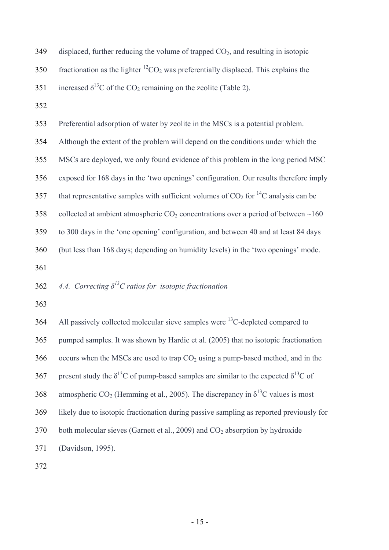| 349 | displaced, further reducing the volume of trapped $CO2$ , and resulting in isotopic                    |
|-----|--------------------------------------------------------------------------------------------------------|
| 350 | fractionation as the lighter ${}^{12}CO_2$ was preferentially displaced. This explains the             |
| 351 | increased $\delta^{13}$ C of the CO <sub>2</sub> remaining on the zeolite (Table 2).                   |
| 352 |                                                                                                        |
| 353 | Preferential adsorption of water by zeolite in the MSCs is a potential problem.                        |
| 354 | Although the extent of the problem will depend on the conditions under which the                       |
| 355 | MSCs are deployed, we only found evidence of this problem in the long period MSC                       |
| 356 | exposed for 168 days in the 'two openings' configuration. Our results therefore imply                  |
| 357 | that representative samples with sufficient volumes of $CO2$ for <sup>14</sup> C analysis can be       |
| 358 | collected at ambient atmospheric $CO_2$ concentrations over a period of between $~160$                 |
| 359 | to 300 days in the 'one opening' configuration, and between 40 and at least 84 days                    |
| 360 | (but less than 168 days; depending on humidity levels) in the 'two openings' mode.                     |
| 361 |                                                                                                        |
| 362 | 4.4. Correcting $\delta^{13}$ C ratios for isotopic fractionation                                      |
| 363 |                                                                                                        |
| 364 | All passively collected molecular sieve samples were $^{13}$ C-depleted compared to                    |
| 365 | pumped samples. It was shown by Hardie et al. (2005) that no isotopic fractionation                    |
| 366 | occurs when the MSCs are used to trap $CO2$ using a pump-based method, and in the                      |
| 367 | present study the $\delta^{13}$ C of pump-based samples are similar to the expected $\delta^{13}$ C of |
| 368 | atmospheric CO <sub>2</sub> (Hemming et al., 2005). The discrepancy in $\delta^{13}$ C values is most  |
| 369 | likely due to isotopic fractionation during passive sampling as reported previously for                |
| 370 | both molecular sieves (Garnett et al., 2009) and CO <sub>2</sub> absorption by hydroxide               |
| 371 | (Davidson, 1995).                                                                                      |
| 372 |                                                                                                        |

- 15 -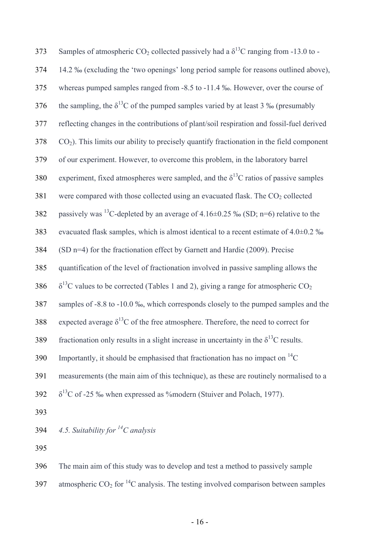| 373 | Samples of atmospheric CO <sub>2</sub> collected passively had a $\delta^{13}$ C ranging from -13.0 to - |
|-----|----------------------------------------------------------------------------------------------------------|
| 374 | 14.2 ‰ (excluding the 'two openings' long period sample for reasons outlined above),                     |
| 375 | whereas pumped samples ranged from -8.5 to -11.4 ‰. However, over the course of                          |
| 376 | the sampling, the $\delta^{13}$ C of the pumped samples varied by at least 3 ‰ (presumably               |
| 377 | reflecting changes in the contributions of plant/soil respiration and fossil-fuel derived                |
| 378 | $CO2$ ). This limits our ability to precisely quantify fractionation in the field component              |
| 379 | of our experiment. However, to overcome this problem, in the laboratory barrel                           |
| 380 | experiment, fixed atmospheres were sampled, and the $\delta^{13}$ C ratios of passive samples            |
| 381 | were compared with those collected using an evacuated flask. The CO <sub>2</sub> collected               |
| 382 | passively was <sup>13</sup> C-depleted by an average of 4.16 $\pm$ 0.25 ‰ (SD; n=6) relative to the      |
| 383 | evacuated flask samples, which is almost identical to a recent estimate of $4.0\pm0.2$ ‰                 |
| 384 | (SD n=4) for the fractionation effect by Garnett and Hardie (2009). Precise                              |
| 385 | quantification of the level of fractionation involved in passive sampling allows the                     |
| 386 | $\delta^{13}$ C values to be corrected (Tables 1 and 2), giving a range for atmospheric CO <sub>2</sub>  |
| 387 | samples of -8.8 to -10.0 ‰, which corresponds closely to the pumped samples and the                      |
| 388 | expected average $\delta^{13}$ C of the free atmosphere. Therefore, the need to correct for              |
| 389 | fractionation only results in a slight increase in uncertainty in the $\delta^{13}$ C results.           |
| 390 | Importantly, it should be emphasised that fractionation has no impact on ${}^{14}C$                      |
| 391 | measurements (the main aim of this technique), as these are routinely normalised to a                    |
| 392 | $\delta^{13}$ C of -25 ‰ when expressed as %modern (Stuiver and Polach, 1977).                           |
| 393 |                                                                                                          |
|     |                                                                                                          |

## 394 *4.5. Suitability for 14C analysis*

395

396 The main aim of this study was to develop and test a method to passively sample

397 atmospheric  $CO<sub>2</sub>$  for <sup>14</sup>C analysis. The testing involved comparison between samples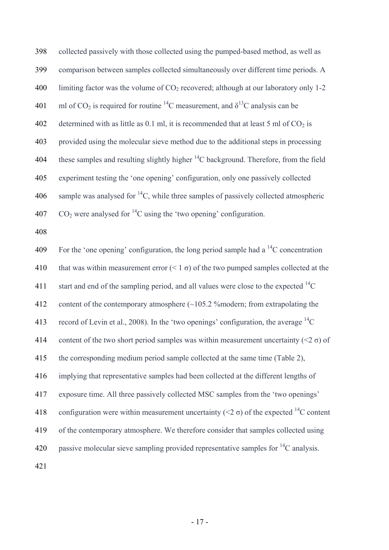| 398 | collected passively with those collected using the pumped-based method, as well as                              |
|-----|-----------------------------------------------------------------------------------------------------------------|
| 399 | comparison between samples collected simultaneously over different time periods. A                              |
| 400 | limiting factor was the volume of $CO2$ recovered; although at our laboratory only 1-2                          |
| 401 | ml of $CO_2$ is required for routine <sup>14</sup> C measurement, and $\delta^{13}$ C analysis can be           |
| 402 | determined with as little as $0.1$ ml, it is recommended that at least 5 ml of $CO2$ is                         |
| 403 | provided using the molecular sieve method due to the additional steps in processing                             |
| 404 | these samples and resulting slightly higher <sup>14</sup> C background. Therefore, from the field               |
| 405 | experiment testing the 'one opening' configuration, only one passively collected                                |
| 406 | sample was analysed for ${}^{14}C$ , while three samples of passively collected atmospheric                     |
| 407 | $CO2$ were analysed for <sup>14</sup> C using the 'two opening' configuration.                                  |
| 408 |                                                                                                                 |
| 409 | For the 'one opening' configuration, the long period sample had a $^{14}$ C concentration                       |
| 410 | that was within measurement error $($ $<$ 1 $\sigma$ ) of the two pumped samples collected at the               |
| 411 | start and end of the sampling period, and all values were close to the expected $^{14}C$                        |
| 412 | content of the contemporary atmosphere $(\sim 105.2 \text{ %modern};$ from extrapolating the                    |
| 413 | record of Levin et al., 2008). In the 'two openings' configuration, the average $^{14}$ C                       |
| 414 | content of the two short period samples was within measurement uncertainty ( $\leq$ 2 $\sigma$ ) of             |
| 415 | the corresponding medium period sample collected at the same time (Table 2),                                    |
| 416 | implying that representative samples had been collected at the different lengths of                             |
| 417 | exposure time. All three passively collected MSC samples from the 'two openings'                                |
| 418 | configuration were within measurement uncertainty ( $\leq$ 2 $\sigma$ ) of the expected <sup>14</sup> C content |
| 419 | of the contemporary atmosphere. We therefore consider that samples collected using                              |
| 420 | passive molecular sieve sampling provided representative samples for ${}^{14}C$ analysis.                       |
| 421 |                                                                                                                 |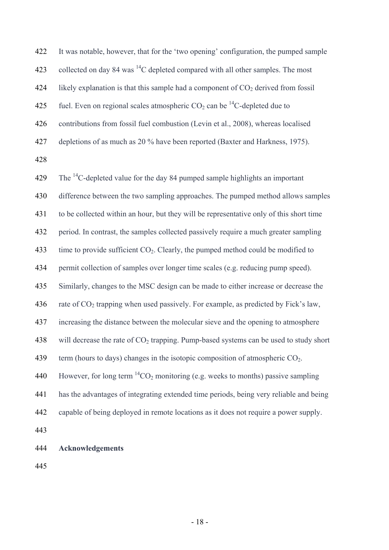It was notable, however, that for the 'two opening' configuration, the pumped sample collected on day 84 was  $^{14}$ C depleted compared with all other samples. The most 422 423 424 425 426 427 428 429 430 431 432 433 434 435 436 437 438 439 440 441 442 443 444 likely explanation is that this sample had a component of  $CO<sub>2</sub>$  derived from fossil fuel. Even on regional scales atmospheric  $CO<sub>2</sub>$  can be <sup>14</sup>C-depleted due to contributions from fossil fuel combustion (Levin et al., 2008), whereas localised depletions of as much as 20 % have been reported (Baxter and Harkness, 1975). The 14C-depleted value for the day 84 pumped sample highlights an important difference between the two sampling approaches. The pumped method allows samples to be collected within an hour, but they will be representative only of this short time period. In contrast, the samples collected passively require a much greater sampling time to provide sufficient  $CO<sub>2</sub>$ . Clearly, the pumped method could be modified to permit collection of samples over longer time scales (e.g. reducing pump speed). Similarly, changes to the MSC design can be made to either increase or decrease the rate of  $CO<sub>2</sub>$  trapping when used passively. For example, as predicted by Fick's law, increasing the distance between the molecular sieve and the opening to atmosphere will decrease the rate of  $CO<sub>2</sub>$  trapping. Pump-based systems can be used to study short term (hours to days) changes in the isotopic composition of atmospheric  $CO<sub>2</sub>$ . However, for long term <sup>14</sup>CO<sub>2</sub> monitoring (e.g. weeks to months) passive sampling has the advantages of integrating extended time periods, being very reliable and being capable of being deployed in remote locations as it does not require a power supply. **Acknowledgements**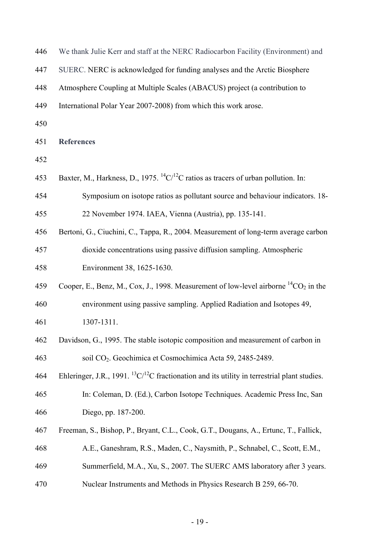| 446 | We thank Julie Kerr and staff at the NERC Radiocarbon Facility (Environment) and                                     |
|-----|----------------------------------------------------------------------------------------------------------------------|
| 447 | SUERC. NERC is acknowledged for funding analyses and the Arctic Biosphere                                            |
| 448 | Atmosphere Coupling at Multiple Scales (ABACUS) project (a contribution to                                           |
| 449 | International Polar Year 2007-2008) from which this work arose.                                                      |
| 450 |                                                                                                                      |
| 451 | <b>References</b>                                                                                                    |
| 452 |                                                                                                                      |
| 453 | Baxter, M., Harkness, D., 1975. ${}^{14}C/{}^{12}C$ ratios as tracers of urban pollution. In:                        |
| 454 | Symposium on isotope ratios as pollutant source and behaviour indicators. 18-                                        |
| 455 | 22 November 1974. IAEA, Vienna (Austria), pp. 135-141.                                                               |
| 456 | Bertoni, G., Ciuchini, C., Tappa, R., 2004. Measurement of long-term average carbon                                  |
| 457 | dioxide concentrations using passive diffusion sampling. Atmospheric                                                 |
| 458 | Environment 38, 1625-1630.                                                                                           |
| 459 | Cooper, E., Benz, M., Cox, J., 1998. Measurement of low-level airborne ${}^{14}CO_2$ in the                          |
| 460 | environment using passive sampling. Applied Radiation and Isotopes 49,                                               |
| 461 | 1307-1311.                                                                                                           |
| 462 | Davidson, G., 1995. The stable isotopic composition and measurement of carbon in                                     |
| 463 | soil CO <sub>2</sub> . Geochimica et Cosmochimica Acta 59, 2485-2489.                                                |
| 464 | Ehleringer, J.R., 1991. <sup>13</sup> C/ <sup>12</sup> C fractionation and its utility in terrestrial plant studies. |
| 465 | In: Coleman, D. (Ed.), Carbon Isotope Techniques. Academic Press Inc, San                                            |
| 466 | Diego, pp. 187-200.                                                                                                  |
| 467 | Freeman, S., Bishop, P., Bryant, C.L., Cook, G.T., Dougans, A., Ertunc, T., Fallick,                                 |
| 468 | A.E., Ganeshram, R.S., Maden, C., Naysmith, P., Schnabel, C., Scott, E.M.,                                           |
| 469 | Summerfield, M.A., Xu, S., 2007. The SUERC AMS laboratory after 3 years.                                             |
| 470 | Nuclear Instruments and Methods in Physics Research B 259, 66-70.                                                    |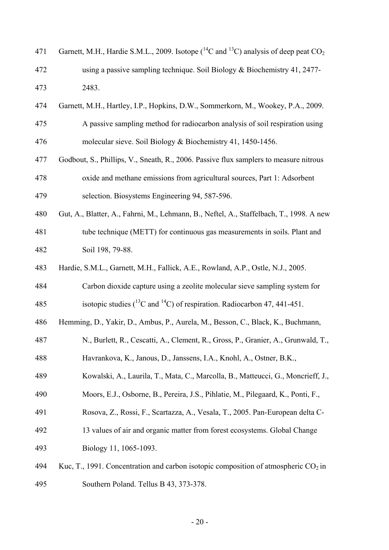| 471 | Garnett, M.H., Hardie S.M.L., 2009. Isotope ( ${}^{14}C$ and ${}^{13}C$ ) analysis of deep peat CO <sub>2</sub> |
|-----|-----------------------------------------------------------------------------------------------------------------|
| 472 | using a passive sampling technique. Soil Biology $& \text{Biochemistry } 41, 2477$ -                            |
| 473 | 2483.                                                                                                           |
| 474 | Garnett, M.H., Hartley, I.P., Hopkins, D.W., Sommerkorn, M., Wookey, P.A., 2009.                                |
| 475 | A passive sampling method for radiocarbon analysis of soil respiration using                                    |
| 476 | molecular sieve. Soil Biology & Biochemistry 41, 1450-1456.                                                     |
| 477 | Godbout, S., Phillips, V., Sneath, R., 2006. Passive flux samplers to measure nitrous                           |
| 478 | oxide and methane emissions from agricultural sources, Part 1: Adsorbent                                        |
| 479 | selection. Biosystems Engineering 94, 587-596.                                                                  |
| 480 | Gut, A., Blatter, A., Fahrni, M., Lehmann, B., Neftel, A., Staffelbach, T., 1998. A new                         |
| 481 | tube technique (METT) for continuous gas measurements in soils. Plant and                                       |
| 482 | Soil 198, 79-88.                                                                                                |
| 483 | Hardie, S.M.L., Garnett, M.H., Fallick, A.E., Rowland, A.P., Ostle, N.J., 2005.                                 |
| 484 | Carbon dioxide capture using a zeolite molecular sieve sampling system for                                      |
| 485 | isotopic studies ( ${}^{13}$ C and ${}^{14}$ C) of respiration. Radiocarbon 47, 441-451.                        |
| 486 | Hemming, D., Yakir, D., Ambus, P., Aurela, M., Besson, C., Black, K., Buchmann,                                 |
| 487 | N., Burlett, R., Cescatti, A., Clement, R., Gross, P., Granier, A., Grunwald, T.,                               |
| 488 | Havrankova, K., Janous, D., Janssens, I.A., Knohl, A., Ostner, B.K.,                                            |
| 489 | Kowalski, A., Laurila, T., Mata, C., Marcolla, B., Matteucci, G., Moncrieff, J.,                                |
| 490 | Moors, E.J., Osborne, B., Pereira, J.S., Pihlatie, M., Pilegaard, K., Ponti, F.,                                |
| 491 | Rosova, Z., Rossi, F., Scartazza, A., Vesala, T., 2005. Pan-European delta C-                                   |
| 492 | 13 values of air and organic matter from forest ecosystems. Global Change                                       |
| 493 | Biology 11, 1065-1093.                                                                                          |
| 494 | Kuc, T., 1991. Concentration and carbon isotopic composition of atmospheric $CO_2$ in                           |
| 495 | Southern Poland. Tellus B 43, 373-378.                                                                          |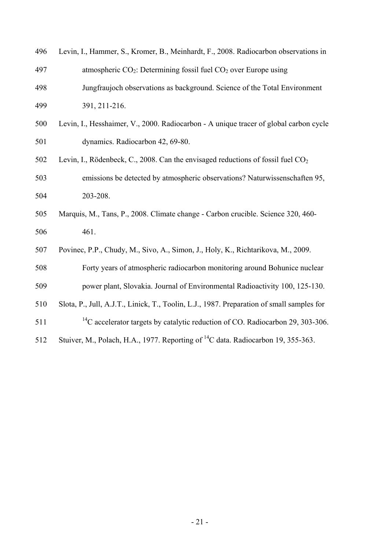| 496 | Levin, I., Hammer, S., Kromer, B., Meinhardt, F., 2008. Radiocarbon observations in          |
|-----|----------------------------------------------------------------------------------------------|
| 497 | atmospheric $CO_2$ : Determining fossil fuel $CO_2$ over Europe using                        |
| 498 | Jungfraujoch observations as background. Science of the Total Environment                    |
| 499 | 391, 211-216.                                                                                |
| 500 | Levin, I., Hesshaimer, V., 2000. Radiocarbon - A unique tracer of global carbon cycle        |
| 501 | dynamics. Radiocarbon 42, 69-80.                                                             |
| 502 | Levin, I., Rödenbeck, C., 2008. Can the envisaged reductions of fossil fuel $CO2$            |
| 503 | emissions be detected by atmospheric observations? Naturwissenschaften 95,                   |
| 504 | 203-208.                                                                                     |
| 505 | Marquis, M., Tans, P., 2008. Climate change - Carbon crucible. Science 320, 460-             |
| 506 | 461.                                                                                         |
| 507 | Povinec, P.P., Chudy, M., Sivo, A., Simon, J., Holy, K., Richtarikova, M., 2009.             |
| 508 | Forty years of atmospheric radiocarbon monitoring around Bohunice nuclear                    |
| 509 | power plant, Slovakia. Journal of Environmental Radioactivity 100, 125-130.                  |
| 510 | Slota, P., Jull, A.J.T., Linick, T., Toolin, L.J., 1987. Preparation of small samples for    |
| 511 | $^{14}$ C accelerator targets by catalytic reduction of CO. Radiocarbon 29, 303-306.         |
| 512 | Stuiver, M., Polach, H.A., 1977. Reporting of <sup>14</sup> C data. Radiocarbon 19, 355-363. |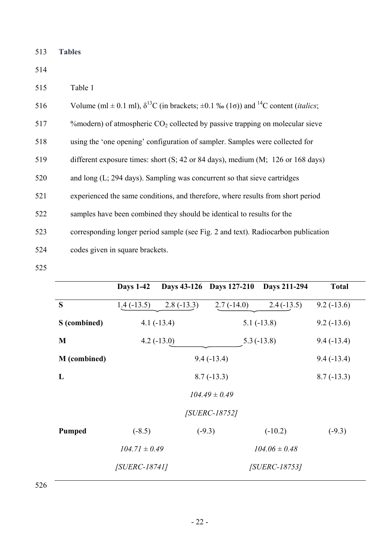| 513 | <b>Tables</b>                                                                                                                    |
|-----|----------------------------------------------------------------------------------------------------------------------------------|
| 514 |                                                                                                                                  |
| 515 | Table 1                                                                                                                          |
| 516 | Volume (ml $\pm$ 0.1 ml), $\delta^{13}C$ (in brackets; $\pm$ 0.1 ‰ (1 $\sigma$ )) and <sup>14</sup> C content ( <i>italics</i> ; |
| 517 | $%$ modern) of atmospheric CO <sub>2</sub> collected by passive trapping on molecular sieve                                      |
| 518 | using the 'one opening' configuration of sampler. Samples were collected for                                                     |
| 519 | different exposure times: short $(S; 42 \text{ or } 84 \text{ days})$ , medium $(M; 126 \text{ or } 168 \text{ days})$           |
| 520 | and long (L; 294 days). Sampling was concurrent so that sieve cartridges                                                         |
| 521 | experienced the same conditions, and therefore, where results from short period                                                  |
| 522 | samples have been combined they should be identical to results for the                                                           |
| 523 | corresponding longer period sample (see Fig. 2 and text). Radiocarbon publication                                                |
| 524 | codes given in square brackets.                                                                                                  |

525

|               | <b>Days 1-42</b>  |              | Days 43-126 Days 127-210 | Days 211-294      | <b>Total</b> |
|---------------|-------------------|--------------|--------------------------|-------------------|--------------|
| S             | $1.4(-13.5)$      | $2.8(-13.3)$ | $2.7(-14.0)$             | $2.4(-13.5)$      | $9.2(-13.6)$ |
| S (combined)  | $4.1(-13.4)$      |              | $5.1(-13.8)$             |                   | $9.2(-13.6)$ |
| M             |                   | $4.2(-13.0)$ | $5.3(-13.8)$             |                   | $9.4(-13.4)$ |
| M (combined)  | $9.4(-13.4)$      |              |                          | $9.4(-13.4)$      |              |
| L             | $8.7(-13.3)$      |              |                          |                   | $8.7(-13.3)$ |
|               | $104.49 \pm 0.49$ |              |                          |                   |              |
| [SUERC-18752] |                   |              |                          |                   |              |
| <b>Pumped</b> | $(-8.5)$          |              | $(-9.3)$                 | $(-10.2)$         | $(-9.3)$     |
|               | $104.71 \pm 0.49$ |              |                          | $104.06 \pm 0.48$ |              |
|               | [SUERC-18741]     |              | [SUERC-18753]            |                   |              |
|               |                   |              |                          |                   |              |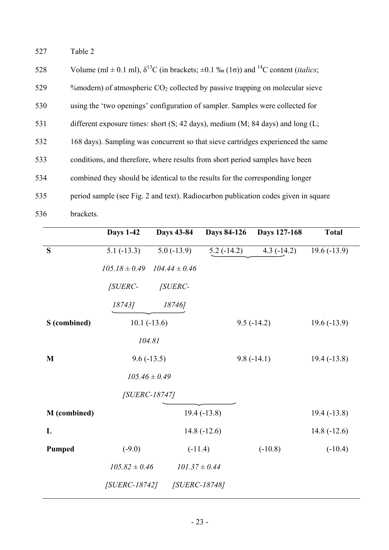527 Table 2

| 528 | Volume (ml $\pm$ 0.1 ml), $\delta^{13}C$ (in brackets; $\pm$ 0.1 ‰ (1 $\sigma$ )) and <sup>14</sup> C content ( <i>italics</i> ; |
|-----|----------------------------------------------------------------------------------------------------------------------------------|
| 529 | $\%$ modern) of atmospheric CO <sub>2</sub> collected by passive trapping on molecular sieve                                     |
| 530 | using the 'two openings' configuration of sampler. Samples were collected for                                                    |
| 531 | different exposure times: short $(S; 42 \text{ days})$ , medium $(M; 84 \text{ days})$ and long $(L;$                            |
| 532 | 168 days). Sampling was concurrent so that sieve cartridges experienced the same                                                 |
| 533 | conditions, and therefore, where results from short period samples have been                                                     |
| 534 | combined they should be identical to the results for the corresponding longer                                                    |
| 535 | period sample (see Fig. 2 and text). Radiocarbon publication codes given in square                                               |
| 536 | brackets.                                                                                                                        |

|              | <b>Days 1-42</b>  | Days 43-84        | Days 84-126   | Days 127-168 | <b>Total</b>  |
|--------------|-------------------|-------------------|---------------|--------------|---------------|
| S            | $5.1(-13.3)$      | $5.0(-13.9)$      | $5.2(-14.2)$  | $4.3(-14.2)$ | $19.6(-13.9)$ |
|              | $105.18 \pm 0.49$ | $104.44 \pm 0.46$ |               |              |               |
|              | <b>SUERC-</b>     | <b>SUERC-</b>     |               |              |               |
|              | 18743]            | 18746]            |               |              |               |
| S (combined) | $10.1(-13.6)$     |                   |               | $9.5(-14.2)$ | $19.6(-13.9)$ |
|              | 104.81            |                   |               |              |               |
| M            | $9.6(-13.5)$      |                   |               | $9.8(-14.1)$ | $19.4(-13.8)$ |
|              | $105.46 \pm 0.49$ |                   |               |              |               |
|              | [SUERC-18747]     |                   |               |              |               |
| M (combined) |                   |                   | $19.4(-13.8)$ |              | $19.4(-13.8)$ |
| L            | $14.8(-12.6)$     |                   |               |              | $14.8(-12.6)$ |
| Pumped       | $(-9.0)$          | $(-11.4)$         |               | $(-10.8)$    | $(-10.4)$     |
|              | $105.82 \pm 0.46$ | $101.37 \pm 0.44$ |               |              |               |
|              | [SUERC-18742]     | [SUERC-18748]     |               |              |               |

J.

 $\overline{\phantom{0}}$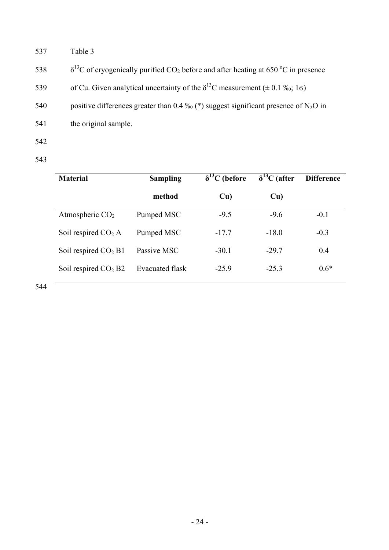537 Table 3

538  $\delta^{13}$ C of cryogenically purified CO<sub>2</sub> before and after heating at 650 °C in presence

539 of Cu. Given analytical uncertainty of the  $\delta^{13}$ C measurement ( $\pm$  0.1 ‰; 1 $\sigma$ )

540 positive differences greater than 0.4 ‰ (\*) suggest significant presence of  $N_2O$  in

- 541 the original sample.
- 542
- 543

| <b>Material</b>        | Sampling               | $\delta^{13}$ C (before | $\delta^{13}C$ (after | <b>Difference</b> |
|------------------------|------------------------|-------------------------|-----------------------|-------------------|
|                        | method                 | Cu)                     | Cu)                   |                   |
| Atmospheric $CO2$      | Pumped MSC             | $-9.5$                  | $-9.6$                | $-0.1$            |
| Soil respired $CO2$ A  | Pumped MSC             | $-17.7$                 | $-18.0$               | $-0.3$            |
| Soil respired $CO2 B1$ | Passive MSC            | $-30.1$                 | $-29.7$               | 0.4               |
| Soil respired $CO2 B2$ | <b>Evacuated flask</b> | $-25.9$                 | $-25.3$               | $0.6*$            |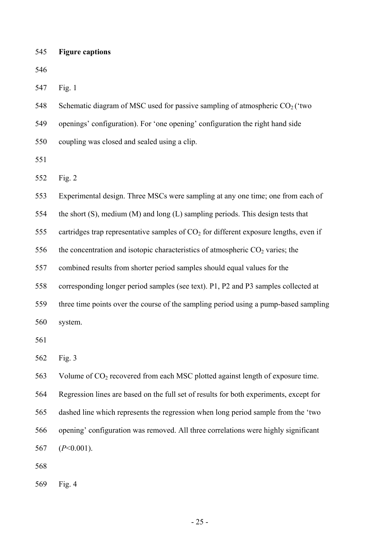## 545 **Figure captions**

546

547 Fig. 1

548 Schematic diagram of MSC used for passive sampling of atmospheric  $CO<sub>2</sub>$  ('two

549 openings' configuration). For 'one opening' configuration the right hand side

550 coupling was closed and sealed using a clip.

551

552 Fig.  $2$ 

553 Experimental design. Three MSCs were sampling at any one time; one from each of

554 the short (S), medium (M) and long (L) sampling periods. This design tests that

555 cartridges trap representative samples of  $CO<sub>2</sub>$  for different exposure lengths, even if

556 the concentration and isotopic characteristics of atmospheric  $CO<sub>2</sub>$  varies; the

557 combined results from shorter period samples should equal values for the

558 corresponding longer period samples (see text). P1, P2 and P3 samples collected at

559 three time points over the course of the sampling period using a pump-based sampling

560 system.

561

562  $Fig. 3$ 

563 Volume of CO<sub>2</sub> recovered from each MSC plotted against length of exposure time.

564 Regression lines are based on the full set of results for both experiments, except for

565 dashed line which represents the regression when long period sample from the 'two

566 opening' configuration was removed. All three correlations were highly significant

567  $(P<0.001)$ .

568

569  $Fig. 4$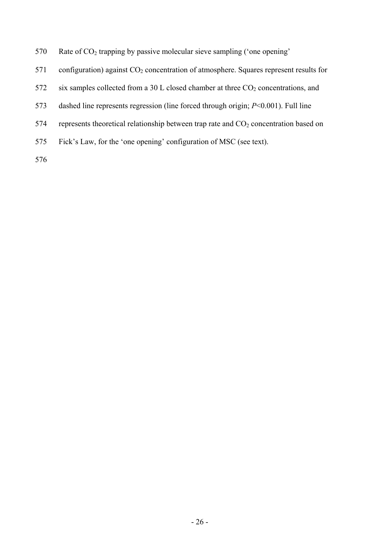- Rate of  $CO<sub>2</sub>$  trapping by passive molecular sieve sampling ('one opening' 570
- configuration) against CO 2 concentration of atmosphere. Squares represent results for 571
- 572 six samples collected from a 30 L closed chamber at three  $CO<sub>2</sub>$  concentrations, and
- 573 dashed line represents regression (line forced through origin; *P*<0.001). Full line
- 574 represents theoretical relationship between trap rate and CO<sub>2</sub> concentration based on
- 575 Fick's Law, for the 'one opening' configuration of MSC (see text).
- 576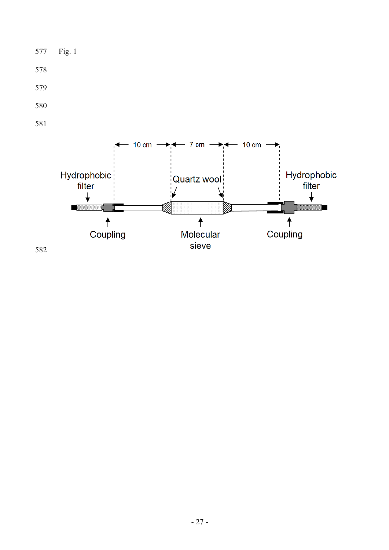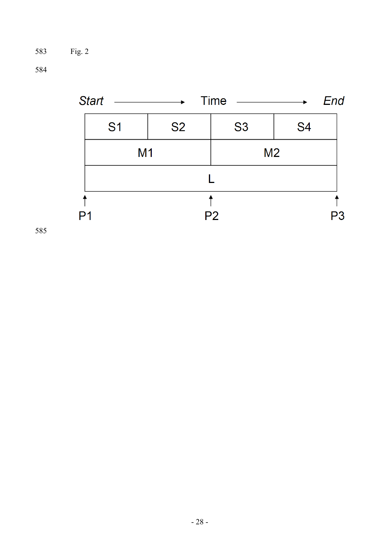583 Fig. 2

584

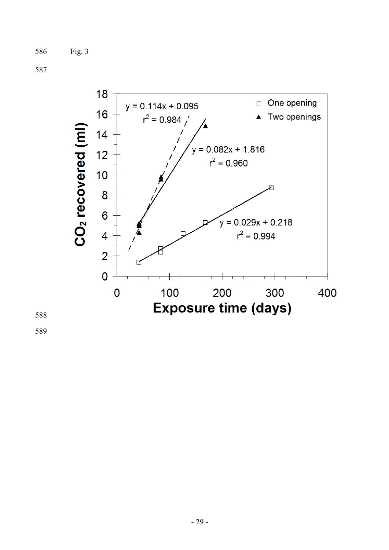586 Fig. 3

587



589